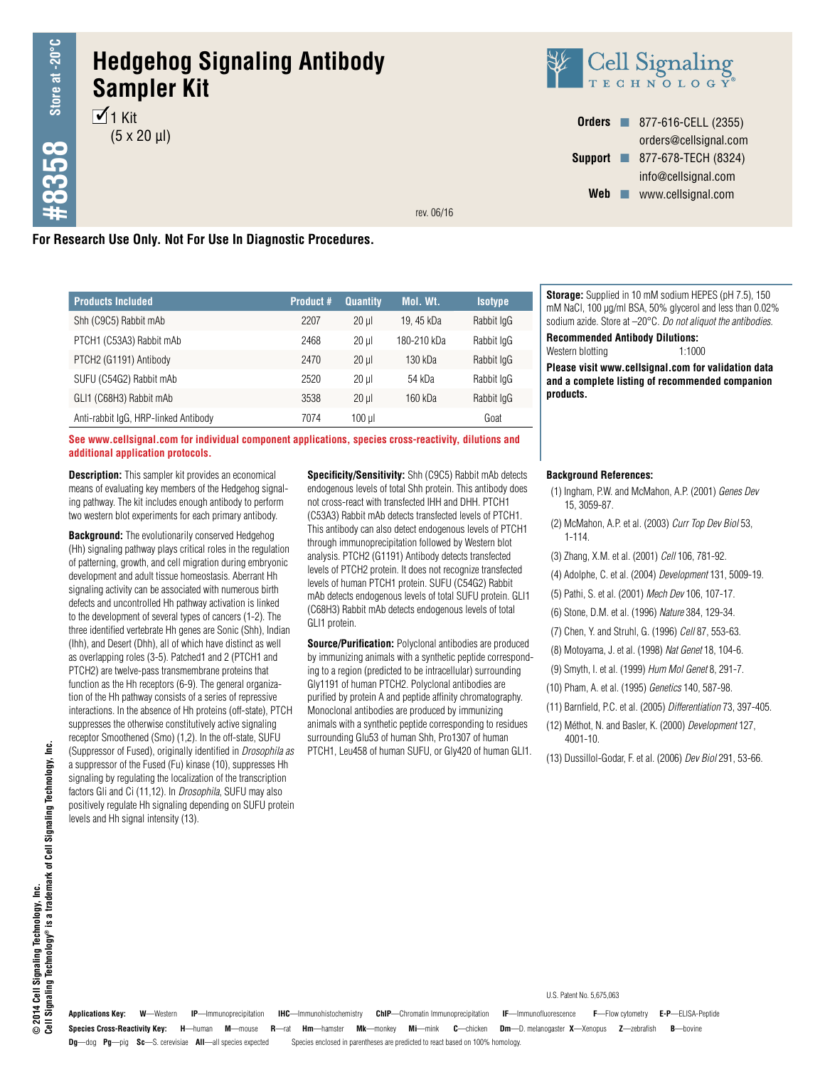# **Hedgehog Signaling Antibody Sampler Kit**

 $\overline{1}$  Kit  $(5 \times 20 \text{ µ})$ 



**Orders n** 877-616-CELL (2355) orders@cellsignal.com **Support n** 877-678-TECH (8324) info@cellsignal.com Web www.cellsignal.com

rev. 06/16

# **For Research Use Only. Not For Use In Diagnostic Procedures.**

| <b>Products Included</b>             | Product # | <b>Quantity</b> | Mol. Wt.    | <b>Isotype</b> |
|--------------------------------------|-----------|-----------------|-------------|----------------|
| Shh (C9C5) Rabbit mAb                | 2207      | $20$ ul         | 19.45 kDa   | Rabbit IgG     |
| PTCH1 (C53A3) Rabbit mAb             | 2468      | $20$ ul         | 180-210 kDa | Rabbit IgG     |
| PTCH2 (G1191) Antibody               | 2470      | $20$ ul         | 130 kDa     | Rabbit IgG     |
| SUFU (C54G2) Rabbit mAb              | 2520      | $20$ ul         | 54 kDa      | Rabbit IgG     |
| GLI1 (C68H3) Rabbit mAb              | 3538      | $20 \mu$        | 160 kDa     | Rabbit IgG     |
| Anti-rabbit IgG, HRP-linked Antibody | 7074      | $100$ µ         |             | Goat           |

**See www.cellsignal.com for individual component applications, species cross-reactivity, dilutions and additional application protocols.**

**Description:** This sampler kit provides an economical means of evaluating key members of the Hedgehog signaling pathway. The kit includes enough antibody to perform two western blot experiments for each primary antibody.

**Background:** The evolutionarily conserved Hedgehog (Hh) signaling pathway plays critical roles in the regulation of patterning, growth, and cell migration during embryonic development and adult tissue homeostasis. Aberrant Hh signaling activity can be associated with numerous birth defects and uncontrolled Hh pathway activation is linked to the development of several types of cancers (1-2). The three identified vertebrate Hh genes are Sonic (Shh), Indian (Ihh), and Desert (Dhh), all of which have distinct as well as overlapping roles (3-5). Patched1 and 2 (PTCH1 and PTCH2) are twelve-pass transmembrane proteins that function as the Hh receptors (6-9). The general organization of the Hh pathway consists of a series of repressive interactions. In the absence of Hh proteins (off-state), PTCH suppresses the otherwise constitutively active signaling receptor Smoothened (Smo) (1,2). In the off-state, SUFU (Suppressor of Fused), originally identified in *Drosophila as*  a suppressor of the Fused (Fu) kinase (10), suppresses Hh signaling by regulating the localization of the transcription factors Gli and Ci (11,12). In *Drosophila*, SUFU may also positively regulate Hh signaling depending on SUFU protein levels and Hh signal intensity (13).

**Specificity/Sensitivity:** Shh (C9C5) Rabbit mAb detects endogenous levels of total Shh protein. This antibody does not cross-react with transfected IHH and DHH. PTCH1 (C53A3) Rabbit mAb detects transfected levels of PTCH1. This antibody can also detect endogenous levels of PTCH1 through immunoprecipitation followed by Western blot analysis. PTCH2 (G1191) Antibody detects transfected levels of PTCH2 protein. It does not recognize transfected levels of human PTCH1 protein. SUFU (C54G2) Rabbit mAb detects endogenous levels of total SUFU protein. GLI1 (C68H3) Rabbit mAb detects endogenous levels of total GLI1 protein.

**Source/Purification:** Polyclonal antibodies are produced by immunizing animals with a synthetic peptide corresponding to a region (predicted to be intracellular) surrounding Gly1191 of human PTCH2. Polyclonal antibodies are purified by protein A and peptide affinity chromatography. Monoclonal antibodies are produced by immunizing animals with a synthetic peptide corresponding to residues surrounding Glu53 of human Shh, Pro1307 of human PTCH1, Leu458 of human SUFU, or Gly420 of human GLI1.

**Storage:** Supplied in 10 mM sodium HEPES (pH 7.5), 150 mM NaCl, 100 µg/ml BSA, 50% glycerol and less than 0.02% sodium azide. Store at –20°C. *Do not aliquot the antibodies.*

**Recommended Antibody Dilutions:**

Western blotting 1:1000 **Please visit www.cellsignal.com for validation data and a complete listing of recommended companion** 

**Background References:**

**products.**

- (1) Ingham, P.W. and McMahon, A.P. (2001) *Genes Dev* 15, 3059-87.
- (2) McMahon, A.P. et al. (2003) *Curr Top Dev Biol* 53, 1-114.
- (3) Zhang, X.M. et al. (2001) *Cell* 106, 781-92.
- (4) Adolphe, C. et al. (2004) *Development* 131, 5009-19.
- (5) Pathi, S. et al. (2001) *Mech Dev* 106, 107-17.
- (6) Stone, D.M. et al. (1996) *Nature* 384, 129-34.
- (7) Chen, Y. and Struhl, G. (1996) *Cell* 87, 553-63.
- (8) Motoyama, J. et al. (1998) *Nat Genet* 18, 104-6.
- (9) Smyth, I. et al. (1999) *Hum Mol Genet* 8, 291-7.
- (10) Pham, A. et al. (1995) *Genetics* 140, 587-98.

U.S. Patent No. 5,675,063

- (11) Barnfield, P.C. et al. (2005) *Differentiation* 73, 397-405.
- (12) Méthot, N. and Basler, K. (2000) *Development* 127, 4001-10.
- (13) Dussillol-Godar, F. et al. (2006) *Dev Biol* 291, 53-66.

**Species Cross-Reactivity Key: H**—human **M**—mouse **R**—rat **Hm**—hamster **Mk**—monkey **Mi**—mink **C**—chicken **Dm**—D. melanogaster **X**—Xenopus **Z**—zebrafish **B**—bovine **Dg**—dog **Pg**—pig **Sc**—S. cerevisiae **All**—all species expected Species enclosed in parentheses are predicted to react based on 100% homology. **Applications Key: W**—Western **IP**—Immunoprecipitation **IHC**—Immunohistochemistry **ChIP**—Chromatin Immunoprecipitation **IF**—Immunofluorescence **F**—Flow cytometry **E-P**—ELISA-Peptide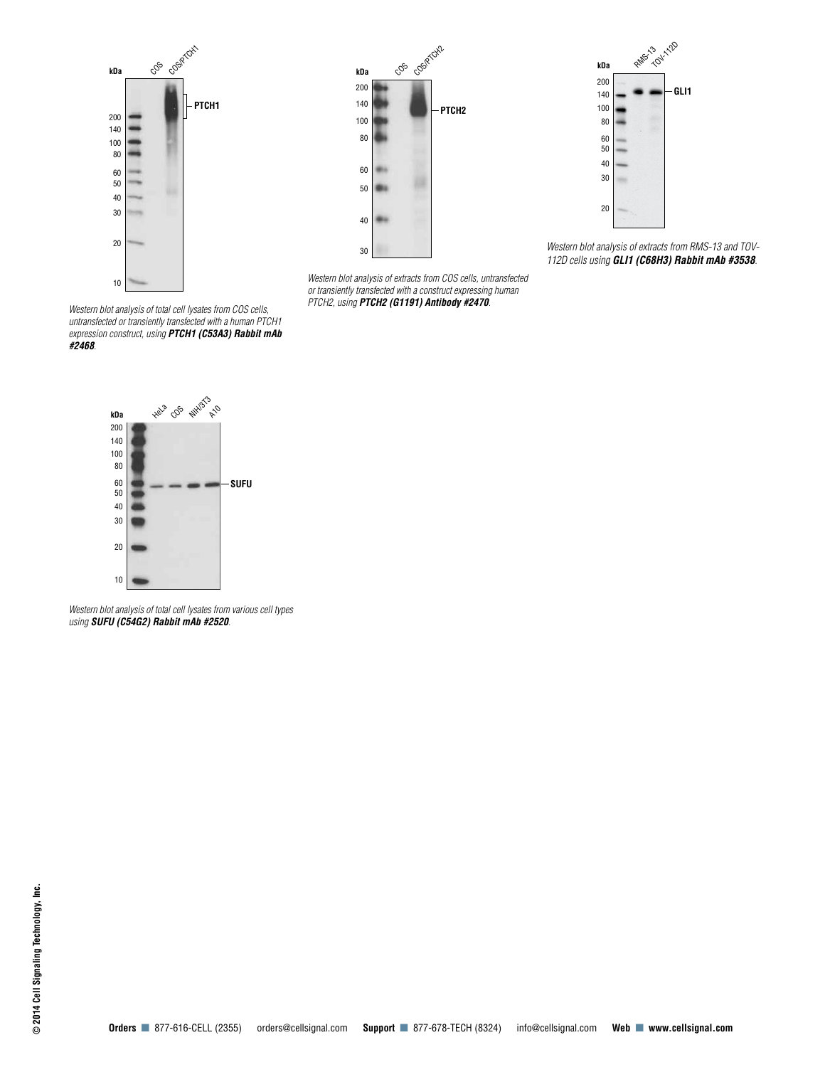



*Western blot analysis of extracts from COS cells, untransfected or transiently transfected with a construct expressing human PTCH2, using PTCH2 (G1191) Antibody #2470.*



*Western blot analysis of extracts from RMS-13 and TOV-112D cells using GLI1 (C68H3) Rabbit mAb #3538.*

*Western blot analysis of total cell lysates from COS cells, untransfected or transiently transfected with a human PTCH1 expression construct, using PTCH1 (C53A3) Rabbit mAb #2468.*



*Western blot analysis of total cell lysates from various cell types using SUFU (C54G2) Rabbit mAb #2520.*